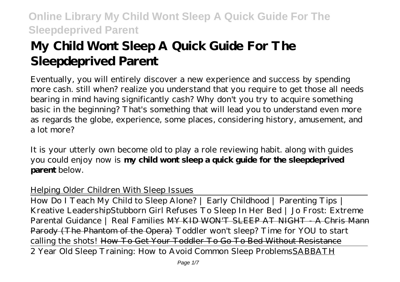# **My Child Wont Sleep A Quick Guide For The Sleepdeprived Parent**

Eventually, you will entirely discover a new experience and success by spending more cash. still when? realize you understand that you require to get those all needs bearing in mind having significantly cash? Why don't you try to acquire something basic in the beginning? That's something that will lead you to understand even more as regards the globe, experience, some places, considering history, amusement, and a lot more?

It is your utterly own become old to play a role reviewing habit. along with guides you could enjoy now is **my child wont sleep a quick guide for the sleepdeprived parent** below.

#### Helping Older Children With Sleep Issues

How Do I Teach My Child to Sleep Alone? | Early Childhood | Parenting Tips | Kreative Leadership*Stubborn Girl Refuses To Sleep In Her Bed | Jo Frost: Extreme Parental Guidance | Real Families* MY KID WON'T SLEEP AT NIGHT - A Chris Mann Parody (The Phantom of the Opera) *Toddler won't sleep? Time for YOU to start calling the shots!* How To Get Your Toddler To Go To Bed Without Resistance 2 Year Old Sleep Training: How to Avoid Common Sleep ProblemsSABBATH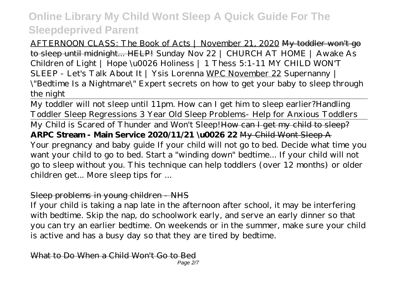AFTERNOON CLASS: The Book of Acts | November 21, 2020 My toddler won't go to sleep until midnight... HELP! *Sunday Nov 22 | CHURCH AT HOME | Awake As Children of Light | Hope \u0026 Holiness | 1 Thess 5:1-11 MY CHILD WON'T SLEEP - Let's Talk About It | Ysis Lorenna* WPC November 22 *Supernanny | \"Bedtime Is a Nightmare\" Expert secrets on how to get your baby to sleep through the night*

My toddler will not sleep until 11pm. How can I get him to sleep earlier?*Handling Toddler Sleep Regressions 3 Year Old Sleep Problems- Help for Anxious Toddlers* My Child is Scared of Thunder and Won't Sleep! How can I get my child to sleep? **ARPC Stream - Main Service 2020/11/21 \u0026 22** My Child Wont Sleep A Your pregnancy and baby guide If your child will not go to bed. Decide what time you want your child to go to bed. Start a "winding down" bedtime... If your child will not go to sleep without you. This technique can help toddlers (over 12 months) or older children get... More sleep tips for ...

#### Sleep problems in young children - NHS

If your child is taking a nap late in the afternoon after school, it may be interfering with bedtime. Skip the nap, do schoolwork early, and serve an early dinner so that you can try an earlier bedtime. On weekends or in the summer, make sure your child is active and has a busy day so that they are tired by bedtime.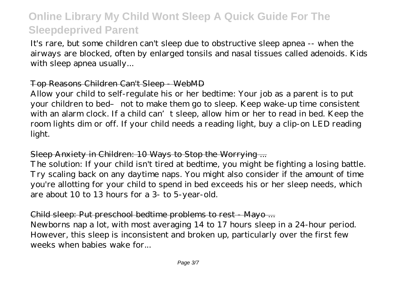It's rare, but some children can't sleep due to obstructive sleep apnea -- when the airways are blocked, often by enlarged tonsils and nasal tissues called adenoids. Kids with sleep apnea usually...

#### Top Reasons Children Can't Sleep - WebMD

Allow your child to self-regulate his or her bedtime: Your job as a parent is to put your children to bed– not to make them go to sleep. Keep wake-up time consistent with an alarm clock. If a child can't sleep, allow him or her to read in bed. Keep the room lights dim or off. If your child needs a reading light, buy a clip-on LED reading light.

#### Sleep Anxiety in Children: 10 Ways to Stop the Worrying ...

The solution: If your child isn't tired at bedtime, you might be fighting a losing battle. Try scaling back on any daytime naps. You might also consider if the amount of time you're allotting for your child to spend in bed exceeds his or her sleep needs, which are about 10 to 13 hours for a 3- to 5-year-old.

#### Child sleep: Put preschool bedtime problems to rest - Mayo ...

Newborns nap a lot, with most averaging 14 to 17 hours sleep in a 24-hour period. However, this sleep is inconsistent and broken up, particularly over the first few weeks when babies wake for...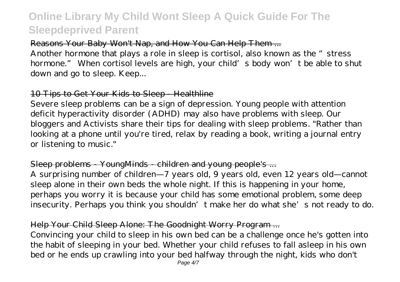### Reasons Your Baby Won't Nap, and How You Can Help Them ...

Another hormone that plays a role in sleep is cortisol, also known as the "stress" hormone." When cortisol levels are high, your child's body won't be able to shut down and go to sleep. Keep...

# 10 Tips to Get Your Kids to Sleep - Healthline

Severe sleep problems can be a sign of depression. Young people with attention deficit hyperactivity disorder (ADHD) may also have problems with sleep. Our bloggers and Activists share their tips for dealing with sleep problems. "Rather than looking at a phone until you're tired, relax by reading a book, writing a journal entry or listening to music."

### Sleep problems YoungMinds children and young people's ...

A surprising number of children—7 years old, 9 years old, even 12 years old—cannot sleep alone in their own beds the whole night. If this is happening in your home, perhaps you worry it is because your child has some emotional problem, some deep insecurity. Perhaps you think you shouldn't make her do what she's not ready to do.

# Help Your Child Sleep Alone: The Goodnight Worry Program ...

Convincing your child to sleep in his own bed can be a challenge once he's gotten into the habit of sleeping in your bed. Whether your child refuses to fall asleep in his own bed or he ends up crawling into your bed halfway through the night, kids who don't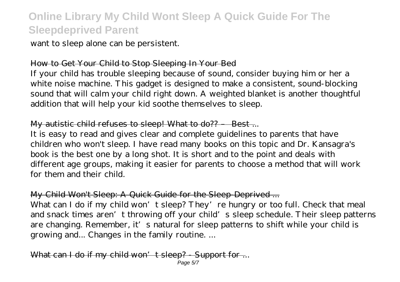want to sleep alone can be persistent.

#### How to Get Your Child to Stop Sleeping In Your Bed

If your child has trouble sleeping because of sound, consider buying him or her a white noise machine. This gadget is designed to make a consistent, sound-blocking sound that will calm your child right down. A weighted blanket is another thoughtful addition that will help your kid soothe themselves to sleep.

### My autistic child refuses to sleep! What to do?? Best...

It is easy to read and gives clear and complete guidelines to parents that have children who won't sleep. I have read many books on this topic and Dr. Kansagra's book is the best one by a long shot. It is short and to the point and deals with different age groups, making it easier for parents to choose a method that will work for them and their child.

### My Child Won't Sleep: A Quick Guide for the Sleep-Deprived ...

What can I do if my child won't sleep? They're hungry or too full. Check that meal and snack times aren't throwing off your child's sleep schedule. Their sleep patterns are changing. Remember, it's natural for sleep patterns to shift while your child is growing and... Changes in the family routine. ...

What can I do if my child won't sleep? - Support for ... Page 5/7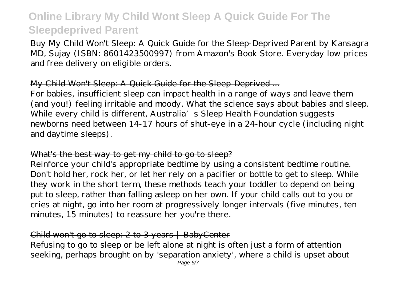Buy My Child Won't Sleep: A Quick Guide for the Sleep-Deprived Parent by Kansagra MD, Sujay (ISBN: 8601423500997) from Amazon's Book Store. Everyday low prices and free delivery on eligible orders.

### My Child Won't Sleep: A Quick Guide for the Sleep-Deprived ...

For babies, insufficient sleep can impact health in a range of ways and leave them (and you!) feeling irritable and moody. What the science says about babies and sleep. While every child is different, Australia's Sleep Health Foundation suggests newborns need between 14-17 hours of shut-eye in a 24-hour cycle (including night and daytime sleeps).

#### What's the best way to get my child to go to sleep?

Reinforce your child's appropriate bedtime by using a consistent bedtime routine. Don't hold her, rock her, or let her rely on a pacifier or bottle to get to sleep. While they work in the short term, these methods teach your toddler to depend on being put to sleep, rather than falling asleep on her own. If your child calls out to you or cries at night, go into her room at progressively longer intervals (five minutes, ten minutes, 15 minutes) to reassure her you're there.

### Child won't go to sleep: 2 to 3 years | BabyCenter

Refusing to go to sleep or be left alone at night is often just a form of attention seeking, perhaps brought on by 'separation anxiety', where a child is upset about